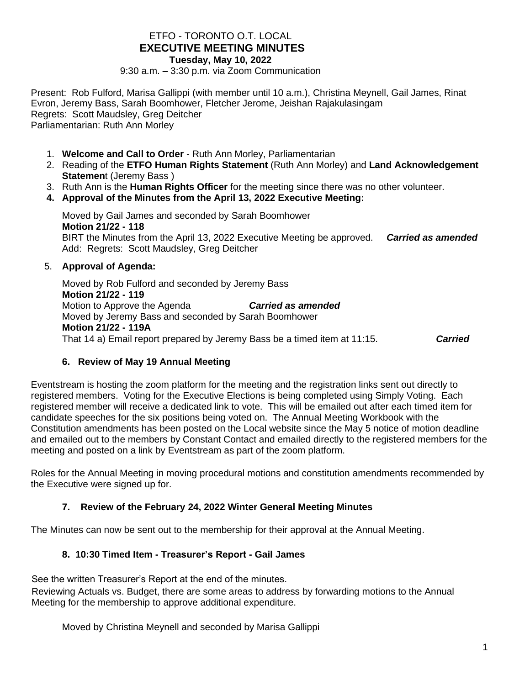### ETFO - TORONTO O.T. LOCAL **EXECUTIVE MEETING MINUTES Tuesday, May 10, 2022**

9:30 a.m. – 3:30 p.m. via Zoom Communication

Present: Rob Fulford, Marisa Gallippi (with member until 10 a.m.), Christina Meynell, Gail James, Rinat Evron, Jeremy Bass, Sarah Boomhower, Fletcher Jerome, Jeishan Rajakulasingam Regrets: Scott Maudsley, Greg Deitcher Parliamentarian: Ruth Ann Morley

- 1. **Welcome and Call to Order** Ruth Ann Morley, Parliamentarian
- 2. Reading of the **ETFO Human Rights Statement** (Ruth Ann Morley) and **Land Acknowledgement Statemen**t (Jeremy Bass )
- 3. Ruth Ann is the **Human Rights Officer** for the meeting since there was no other volunteer.
- **4. Approval of the Minutes from the April 13, 2022 Executive Meeting:**

Moved by Gail James and seconded by Sarah Boomhower **Motion 21/22 - 118**  BIRT the Minutes from the April 13, 2022 Executive Meeting be approved. *Carried as amended* Add: Regrets: Scott Maudsley, Greg Deitcher

#### 5. **Approval of Agenda:**

Moved by Rob Fulford and seconded by Jeremy Bass **Motion 21/22 - 119** Motion to Approve the Agenda *Carried as amended* Moved by Jeremy Bass and seconded by Sarah Boomhower **Motion 21/22 - 119A** That 14 a) Email report prepared by Jeremy Bass be a timed item at 11:15. *Carried*

### **6. Review of May 19 Annual Meeting**

Eventstream is hosting the zoom platform for the meeting and the registration links sent out directly to registered members. Voting for the Executive Elections is being completed using Simply Voting. Each registered member will receive a dedicated link to vote. This will be emailed out after each timed item for candidate speeches for the six positions being voted on. The Annual Meeting Workbook with the Constitution amendments has been posted on the Local website since the May 5 notice of motion deadline and emailed out to the members by Constant Contact and emailed directly to the registered members for the meeting and posted on a link by Eventstream as part of the zoom platform.

Roles for the Annual Meeting in moving procedural motions and constitution amendments recommended by the Executive were signed up for.

### **7. Review of the February 24, 2022 Winter General Meeting Minutes**

The Minutes can now be sent out to the membership for their approval at the Annual Meeting.

### **8. 10:30 Timed Item - Treasurer's Report - Gail James**

See the written Treasurer's Report at the end of the minutes.

Reviewing Actuals vs. Budget, there are some areas to address by forwarding motions to the Annual Meeting for the membership to approve additional expenditure.

Moved by Christina Meynell and seconded by Marisa Gallippi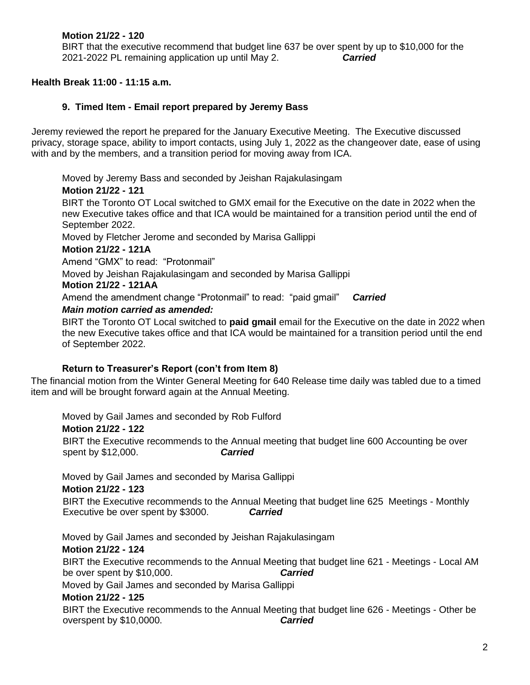# **Motion 21/22 - 120**

BIRT that the executive recommend that budget line 637 be over spent by up to \$10,000 for the 2021-2022 PL remaining application up until May 2. *Carried*

### **Health Break 11:00 - 11:15 a.m.**

### **9. Timed Item - Email report prepared by Jeremy Bass**

Jeremy reviewed the report he prepared for the January Executive Meeting. The Executive discussed privacy, storage space, ability to import contacts, using July 1, 2022 as the changeover date, ease of using with and by the members, and a transition period for moving away from ICA.

Moved by Jeremy Bass and seconded by Jeishan Rajakulasingam **Motion 21/22 - 121** BIRT the Toronto OT Local switched to GMX email for the Executive on the date in 2022 when the new Executive takes office and that ICA would be maintained for a transition period until the end of September 2022.

Moved by Fletcher Jerome and seconded by Marisa Gallippi

### **Motion 21/22 - 121A**

Amend "GMX" to read: "Protonmail"

Moved by Jeishan Rajakulasingam and seconded by Marisa Gallippi

#### **Motion 21/22 - 121AA**

Amend the amendment change "Protonmail" to read: "paid gmail" *Carried*

#### *Main motion carried as amended:*

BIRT the Toronto OT Local switched to **paid gmail** email for the Executive on the date in 2022 when the new Executive takes office and that ICA would be maintained for a transition period until the end of September 2022.

### **Return to Treasurer's Report (con't from Item 8)**

The financial motion from the Winter General Meeting for 640 Release time daily was tabled due to a timed item and will be brought forward again at the Annual Meeting.

Moved by Gail James and seconded by Rob Fulford

### **Motion 21/22 - 122**

BIRT the Executive recommends to the Annual meeting that budget line 600 Accounting be over spent by \$12,000. *Carried*

Moved by Gail James and seconded by Marisa Gallippi

#### **Motion 21/22 - 123**

BIRT the Executive recommends to the Annual Meeting that budget line 625 Meetings - Monthly Executive be over spent by \$3000. *Carried*

Moved by Gail James and seconded by Jeishan Rajakulasingam

### **Motion 21/22 - 124**

BIRT the Executive recommends to the Annual Meeting that budget line 621 - Meetings - Local AM be over spent by \$10,000. *Carried*

Moved by Gail James and seconded by Marisa Gallippi

#### **Motion 21/22 - 125**

BIRT the Executive recommends to the Annual Meeting that budget line 626 - Meetings - Other be overspent by \$10,0000. *Carried*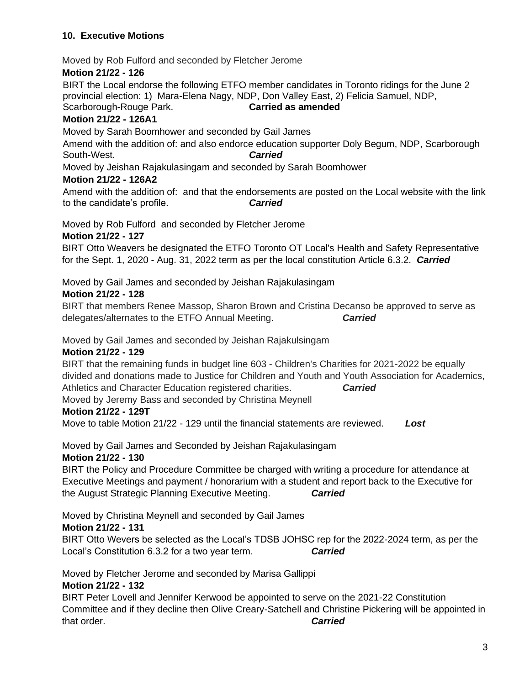# **10. Executive Motions**

Moved by Rob Fulford and seconded by Fletcher Jerome

# **Motion 21/22 - 126**

BIRT the Local endorse the following ETFO member candidates in Toronto ridings for the June 2 provincial election: 1) Mara-Elena Nagy, NDP, Don Valley East, 2) Felicia Samuel, NDP, Scarborough-Rouge Park. **Carried as amended**

# **Motion 21/22 - 126A1**

Moved by Sarah Boomhower and seconded by Gail James

Amend with the addition of: and also endorce education supporter Doly Begum, NDP, Scarborough South-West. *Carried*

Moved by Jeishan Rajakulasingam and seconded by Sarah Boomhower

### **Motion 21/22 - 126A2**

Amend with the addition of: and that the endorsements are posted on the Local website with the link to the candidate's profile. *Carried*

Moved by Rob Fulford and seconded by Fletcher Jerome

### **Motion 21/22 - 127**

BIRT Otto Weavers be designated the ETFO Toronto OT Local's Health and Safety Representative for the Sept. 1, 2020 - Aug. 31, 2022 term as per the local constitution Article 6.3.2. *Carried*

Moved by Gail James and seconded by Jeishan Rajakulasingam

# **Motion 21/22 - 128**

BIRT that members Renee Massop, Sharon Brown and Cristina Decanso be approved to serve as delegates/alternates to the ETFO Annual Meeting. *Carried*

Moved by Gail James and seconded by Jeishan Rajakulsingam

# **Motion 21/22 - 129**

BIRT that the remaining funds in budget line 603 - Children's Charities for 2021-2022 be equally divided and donations made to Justice for Children and Youth and Youth Association for Academics, Athletics and Character Education registered charities. *Carried*

Moved by Jeremy Bass and seconded by Christina Meynell

# **Motion 21/22 - 129T**

Move to table Motion 21/22 - 129 until the financial statements are reviewed. *Lost*

Moved by Gail James and Seconded by Jeishan Rajakulasingam

### **Motion 21/22 - 130**

BIRT the Policy and Procedure Committee be charged with writing a procedure for attendance at Executive Meetings and payment / honorarium with a student and report back to the Executive for the August Strategic Planning Executive Meeting. *Carried*

Moved by Christina Meynell and seconded by Gail James

# **Motion 21/22 - 131**

BIRT Otto Wevers be selected as the Local's TDSB JOHSC rep for the 2022-2024 term, as per the Local's Constitution 6.3.2 for a two year term. *Carried*

Moved by Fletcher Jerome and seconded by Marisa Gallippi **Motion 21/22 - 132**

BIRT Peter Lovell and Jennifer Kerwood be appointed to serve on the 2021-22 Constitution Committee and if they decline then Olive Creary-Satchell and Christine Pickering will be appointed in that order. *Carried*